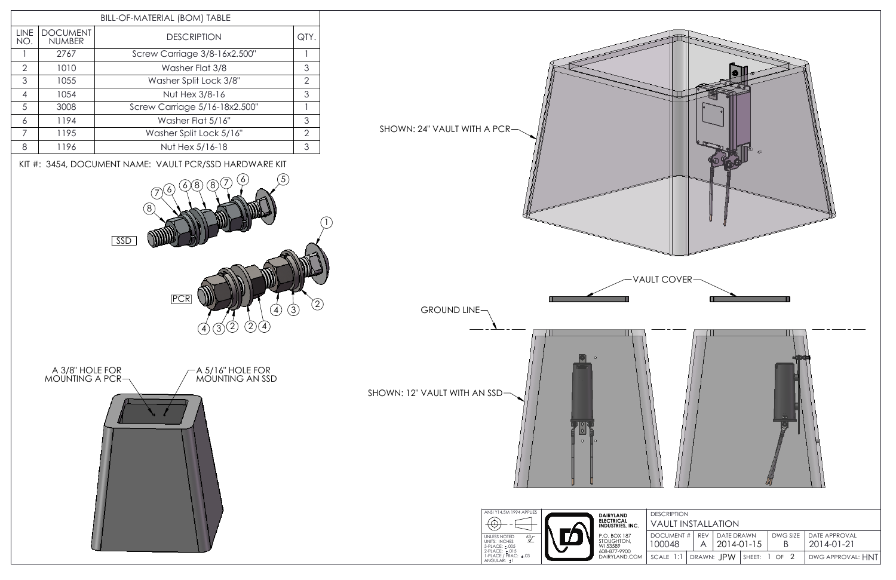

| ¢D                                                                                                           |  |  |  |  |  |  |
|--------------------------------------------------------------------------------------------------------------|--|--|--|--|--|--|
| LT COVER                                                                                                     |  |  |  |  |  |  |
|                                                                                                              |  |  |  |  |  |  |
| u u                                                                                                          |  |  |  |  |  |  |
| <b>DESCRIPTION</b>                                                                                           |  |  |  |  |  |  |
| <b>VAULT INSTALLATION</b>                                                                                    |  |  |  |  |  |  |
| DOCUMENT #<br>DATE DRAWN<br>REV<br>DWG SIZE<br>DATE APPROVAL<br>100048<br>2014-01-15<br>B<br>2014-01-21<br>A |  |  |  |  |  |  |
| SCALE 1:1<br>DRAWN: JPW<br>$1$ OF $2$<br>SHEET:<br>DWG APPROVAL: HNT                                         |  |  |  |  |  |  |
|                                                                                                              |  |  |  |  |  |  |

film i